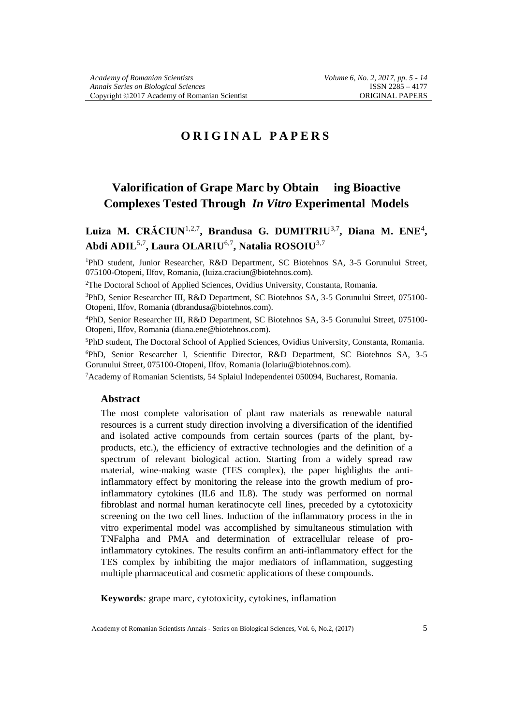# **O R I G I N A L P A P E R S**

# **Valorification of Grape Marc by Obtain ing Bioactive Complexes Tested Through** *In Vitro* **Experimental Models**

## **Luiza M. CRĂCIUN**1,2,7**, Brandusa G. DUMITRIU**3,7**, Diana M. ENE**<sup>4</sup> **, Abdi ADIL**5,7**, Laura OLARIU**6,7**, Natalia ROSOIU**3,7

<sup>1</sup>PhD student, Junior Researcher, R&D Department, SC Biotehnos SA, 3-5 Gorunului Street, 075100-Otopeni, Ilfov, Romania, (luiza.craciun@biotehnos.com).

<sup>2</sup>The Doctoral School of Applied Sciences, Ovidius University, Constanta, Romania.

<sup>3</sup>PhD, Senior Researcher III, R&D Department, SC Biotehnos SA, 3-5 Gorunului Street, 075100- Otopeni, Ilfov, Romania (dbrandusa@biotehnos.com).

<sup>4</sup>PhD, Senior Researcher III, R&D Department, SC Biotehnos SA, 3-5 Gorunului Street, 075100- Otopeni, Ilfov, Romania (diana.ene@biotehnos.com).

<sup>5</sup>PhD student, The Doctoral School of Applied Sciences, Ovidius University, Constanta, Romania.

<sup>6</sup>PhD, Senior Researcher I, Scientific Director, R&D Department, SC Biotehnos SA, 3-5 Gorunului Street, 075100-Otopeni, Ilfov, Romania (lolariu@biotehnos.com).

<sup>7</sup>Academy of Romanian Scientists, 54 Splaiul Independentei 050094, Bucharest, Romania.

#### **Abstract**

The most complete valorisation of plant raw materials as renewable natural resources is a current study direction involving a diversification of the identified and isolated active compounds from certain sources (parts of the plant, byproducts, etc.), the efficiency of extractive technologies and the definition of a spectrum of relevant biological action. Starting from a widely spread raw material, wine-making waste (TES complex), the paper highlights the antiinflammatory effect by monitoring the release into the growth medium of proinflammatory cytokines (IL6 and IL8). The study was performed on normal fibroblast and normal human keratinocyte cell lines, preceded by a cytotoxicity screening on the two cell lines. Induction of the inflammatory process in the in vitro experimental model was accomplished by simultaneous stimulation with TNFalpha and PMA and determination of extracellular release of proinflammatory cytokines. The results confirm an anti-inflammatory effect for the TES complex by inhibiting the major mediators of inflammation, suggesting multiple pharmaceutical and cosmetic applications of these compounds.

**Keywords***:* grape marc, cytotoxicity, cytokines, inflamation

Academy of Romanian Scientists Annals - Series on Biological Sciences, Vol. 6, No.2, (2017) 5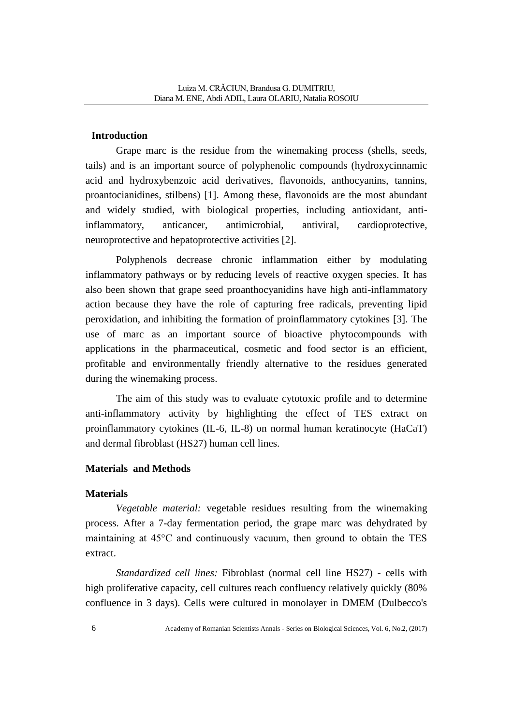### **Introduction**

Grape marc is the residue from the winemaking process (shells, seeds, tails) and is an important source of polyphenolic compounds (hydroxycinnamic acid and hydroxybenzoic acid derivatives, flavonoids, anthocyanins, tannins, proantocianidines, stilbens) [1]. Among these, flavonoids are the most abundant and widely studied, with biological properties, including antioxidant, antiinflammatory, anticancer, antimicrobial, antiviral, cardioprotective, neuroprotective and hepatoprotective activities [2].

Polyphenols decrease chronic inflammation either by modulating inflammatory pathways or by reducing levels of reactive oxygen species. It has also been shown that grape seed proanthocyanidins have high anti-inflammatory action because they have the role of capturing free radicals, preventing lipid peroxidation, and inhibiting the formation of proinflammatory cytokines [3]. The use of marc as an important source of bioactive phytocompounds with applications in the pharmaceutical, cosmetic and food sector is an efficient, profitable and environmentally friendly alternative to the residues generated during the winemaking process.

The aim of this study was to evaluate cytotoxic profile and to determine anti-inflammatory activity by highlighting the effect of TES extract on proinflammatory cytokines (IL-6, IL-8) on normal human keratinocyte (HaCaT) and dermal fibroblast (HS27) human cell lines.

### **Materials and Methods**

### **Materials**

*Vegetable material:* vegetable residues resulting from the winemaking process. After a 7-day fermentation period, the grape marc was dehydrated by maintaining at 45°C and continuously vacuum, then ground to obtain the TES extract.

*Standardized cell lines:* Fibroblast (normal cell line HS27) - cells with high proliferative capacity, cell cultures reach confluency relatively quickly (80% confluence in 3 days). Cells were cultured in monolayer in DMEM (Dulbecco's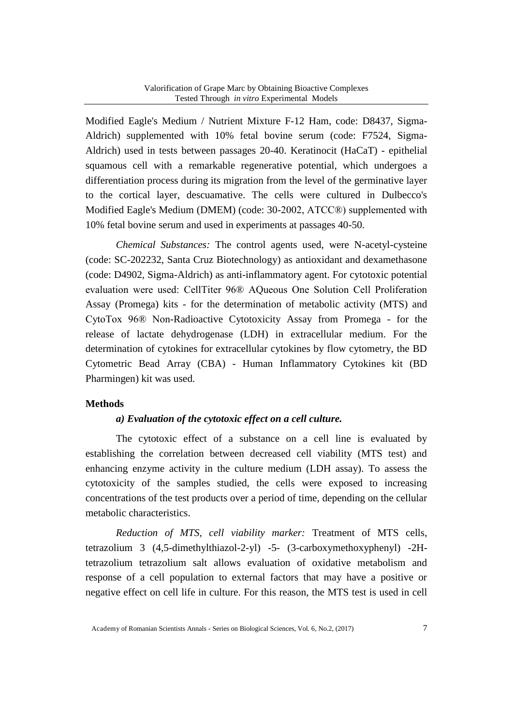Modified Eagle's Medium / Nutrient Mixture F-12 Ham, code: D8437, Sigma-Aldrich) supplemented with 10% fetal bovine serum (code: F7524, Sigma-Aldrich) used in tests between passages 20-40. Keratinocit (HaCaT) - epithelial squamous cell with a remarkable regenerative potential, which undergoes a differentiation process during its migration from the level of the germinative layer to the cortical layer, descuamative. The cells were cultured in Dulbecco's Modified Eagle's Medium (DMEM) (code: 30-2002, ATCC®) supplemented with 10% fetal bovine serum and used in experiments at passages 40-50.

*Chemical Substances:* The control agents used, were N-acetyl-cysteine (code: SC-202232, Santa Cruz Biotechnology) as antioxidant and dexamethasone (code: D4902, Sigma-Aldrich) as anti-inflammatory agent. For cytotoxic potential evaluation were used: CellTiter 96® AQueous One Solution Cell Proliferation Assay (Promega) kits - for the determination of metabolic activity (MTS) and CytoTox 96® Non-Radioactive Cytotoxicity Assay from Promega - for the release of lactate dehydrogenase (LDH) in extracellular medium. For the determination of cytokines for extracellular cytokines by flow cytometry, the BD Cytometric Bead Array (CBA) - Human Inflammatory Cytokines kit (BD Pharmingen) kit was used.

### **Methods**

#### *a) Evaluation of the cytotoxic effect on a cell culture.*

The cytotoxic effect of a substance on a cell line is evaluated by establishing the correlation between decreased cell viability (MTS test) and enhancing enzyme activity in the culture medium (LDH assay). To assess the cytotoxicity of the samples studied, the cells were exposed to increasing concentrations of the test products over a period of time, depending on the cellular metabolic characteristics.

*Reduction of MTS, cell viability marker:* Treatment of MTS cells, tetrazolium 3 (4,5-dimethylthiazol-2-yl) -5- (3-carboxymethoxyphenyl) -2Htetrazolium tetrazolium salt allows evaluation of oxidative metabolism and response of a cell population to external factors that may have a positive or negative effect on cell life in culture. For this reason, the MTS test is used in cell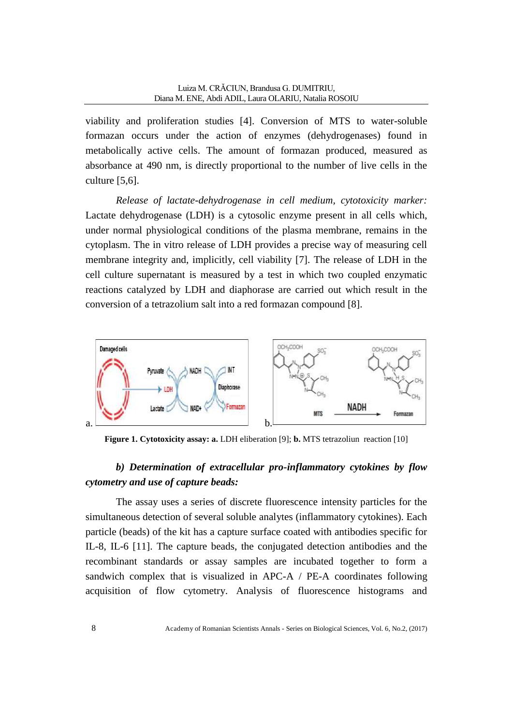viability and proliferation studies [4]. Conversion of MTS to water-soluble formazan occurs under the action of enzymes (dehydrogenases) found in metabolically active cells. The amount of formazan produced, measured as absorbance at 490 nm, is directly proportional to the number of live cells in the culture [5,6].

*Release of lactate-dehydrogenase in cell medium, cytotoxicity marker:* Lactate dehydrogenase (LDH) is a cytosolic enzyme present in all cells which, under normal physiological conditions of the plasma membrane, remains in the cytoplasm. The in vitro release of LDH provides a precise way of measuring cell membrane integrity and, implicitly, cell viability [7]. The release of LDH in the cell culture supernatant is measured by a test in which two coupled enzymatic reactions catalyzed by LDH and diaphorase are carried out which result in the conversion of a tetrazolium salt into a red formazan compound [8].



**Figure 1. Cytotoxicity assay: a.** LDH eliberation [9]; **b.** MTS tetrazoliun reaction [10]

## *b) Determination of extracellular pro-inflammatory cytokines by flow cytometry and use of capture beads:*

The assay uses a series of discrete fluorescence intensity particles for the simultaneous detection of several soluble analytes (inflammatory cytokines). Each particle (beads) of the kit has a capture surface coated with antibodies specific for IL-8, IL-6 [11]. The capture beads, the conjugated detection antibodies and the recombinant standards or assay samples are incubated together to form a sandwich complex that is visualized in APC-A / PE-A coordinates following acquisition of flow cytometry. Analysis of fluorescence histograms and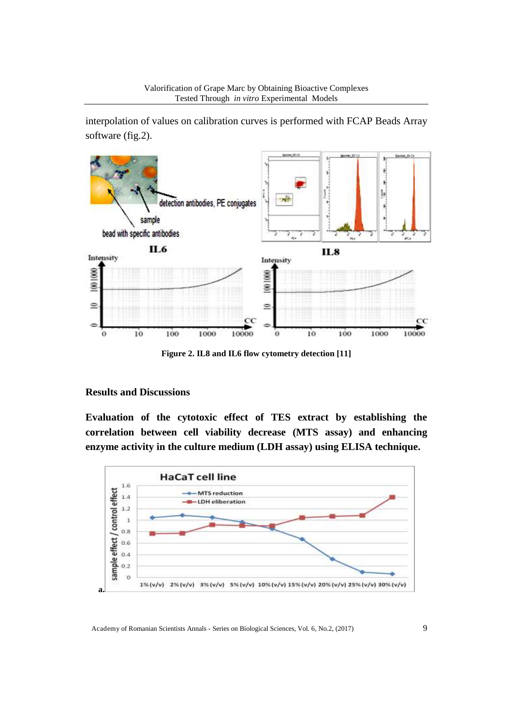interpolation of values on calibration curves is performed with FCAP Beads Array software (fig.2).



**Figure 2. IL8 and IL6 flow cytometry detection [11]**

#### **Results and Discussions**

**Evaluation of the cytotoxic effect of TES extract by establishing the correlation between cell viability decrease (MTS assay) and enhancing enzyme activity in the culture medium (LDH assay) using ELISA technique.** 

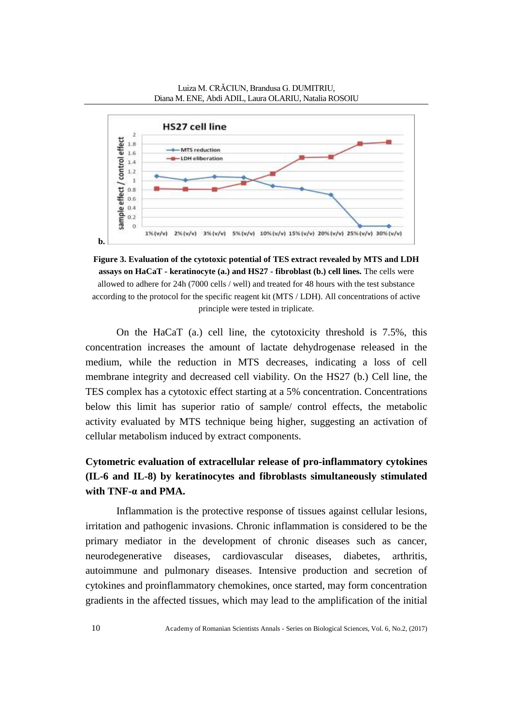

**Figure 3. Evaluation of the cytotoxic potential of TES extract revealed by MTS and LDH assays on HaCaT - keratinocyte (a.) and HS27 - fibroblast (b.) cell lines.** The cells were allowed to adhere for 24h (7000 cells / well) and treated for 48 hours with the test substance according to the protocol for the specific reagent kit (MTS / LDH). All concentrations of active principle were tested in triplicate.

On the HaCaT (a.) cell line, the cytotoxicity threshold is 7.5%, this concentration increases the amount of lactate dehydrogenase released in the medium, while the reduction in MTS decreases, indicating a loss of cell membrane integrity and decreased cell viability. On the HS27 (b.) Cell line, the TES complex has a cytotoxic effect starting at a 5% concentration. Concentrations below this limit has superior ratio of sample/ control effects, the metabolic activity evaluated by MTS technique being higher, suggesting an activation of cellular metabolism induced by extract components.

# **Cytometric evaluation of extracellular release of pro-inflammatory cytokines (IL-6 and IL-8) by keratinocytes and fibroblasts simultaneously stimulated with TNF-α and PMA.**

Inflammation is the protective response of tissues against cellular lesions, irritation and pathogenic invasions. Chronic inflammation is considered to be the primary mediator in the development of chronic diseases such as cancer, neurodegenerative diseases, cardiovascular diseases, diabetes, arthritis, autoimmune and pulmonary diseases. Intensive production and secretion of cytokines and proinflammatory chemokines, once started, may form concentration gradients in the affected tissues, which may lead to the amplification of the initial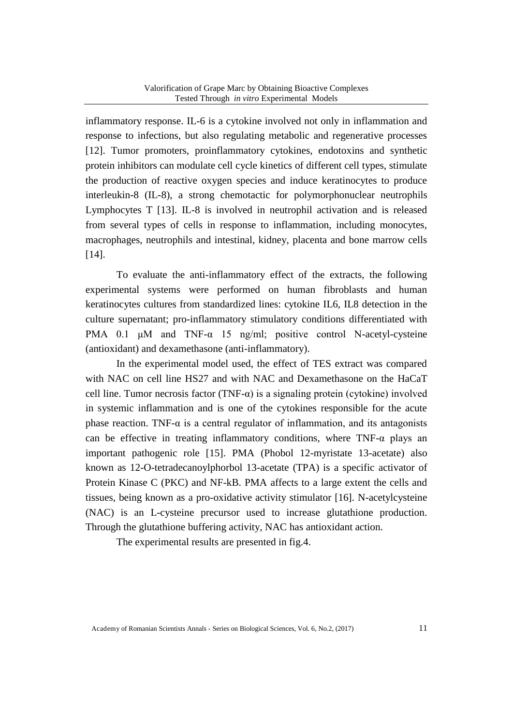inflammatory response. IL-6 is a cytokine involved not only in inflammation and response to infections, but also regulating metabolic and regenerative processes [12]. Tumor promoters, proinflammatory cytokines, endotoxins and synthetic protein inhibitors can modulate cell cycle kinetics of different cell types, stimulate the production of reactive oxygen species and induce keratinocytes to produce interleukin-8 (IL-8), a strong chemotactic for polymorphonuclear neutrophils Lymphocytes T [13]. IL-8 is involved in neutrophil activation and is released from several types of cells in response to inflammation, including monocytes, macrophages, neutrophils and intestinal, kidney, placenta and bone marrow cells [14].

To evaluate the anti-inflammatory effect of the extracts, the following experimental systems were performed on human fibroblasts and human keratinocytes cultures from standardized lines: cytokine IL6, IL8 detection in the culture supernatant; pro-inflammatory stimulatory conditions differentiated with PMA 0.1 μM and TNF-α 15 ng/ml; positive control N-acetyl-cysteine (antioxidant) and dexamethasone (anti-inflammatory).

In the experimental model used, the effect of TES extract was compared with NAC on cell line HS27 and with NAC and Dexamethasone on the HaCaT cell line. Tumor necrosis factor  $(TNF-\alpha)$  is a signaling protein (cytokine) involved in systemic inflammation and is one of the cytokines responsible for the acute phase reaction. TNF- $\alpha$  is a central regulator of inflammation, and its antagonists can be effective in treating inflammatory conditions, where  $TNF-\alpha$  plays an important pathogenic role [15]. PMA (Phobol 12-myristate 13-acetate) also known as 12-O-tetradecanoylphorbol 13-acetate (TPA) is a specific activator of Protein Kinase C (PKC) and NF-kB. PMA affects to a large extent the cells and tissues, being known as a pro-oxidative activity stimulator [16]. N-acetylcysteine (NAC) is an L-cysteine precursor used to increase glutathione production. Through the glutathione buffering activity, NAC has antioxidant action.

The experimental results are presented in fig.4.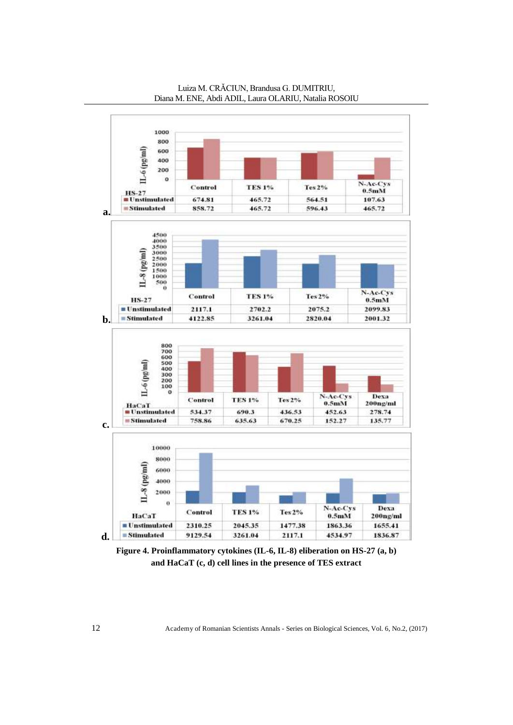

Luiza M. CRĂCIUN, Brandusa G. DUMITRIU, Diana M. ENE, Abdi ADIL, Laura OLARIU, Natalia ROSOIU

**Figure 4. Proinflammatory cytokines (IL-6, IL-8) eliberation on HS-27 (a, b) and HaCaT (c, d) cell lines in the presence of TES extract**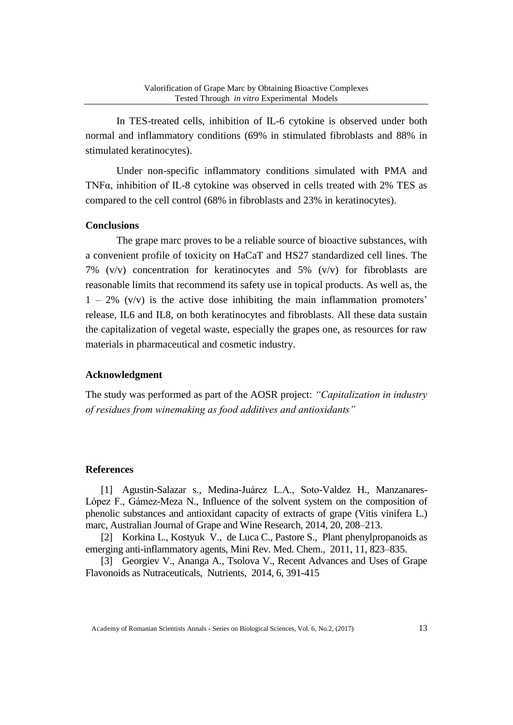In TES-treated cells, inhibition of IL-6 cytokine is observed under both normal and inflammatory conditions (69% in stimulated fibroblasts and 88% in stimulated keratinocytes).

Under non-specific inflammatory conditions simulated with PMA and TNFα, inhibition of IL-8 cytokine was observed in cells treated with 2% TES as compared to the cell control (68% in fibroblasts and 23% in keratinocytes).

#### **Conclusions**

The grape marc proves to be a reliable source of bioactive substances, with a convenient profile of toxicity on HaCaT and HS27 standardized cell lines. The 7% ( $v/v$ ) concentration for keratinocytes and 5% ( $v/v$ ) for fibroblasts are reasonable limits that recommend its safety use in topical products. As well as, the  $1 - 2\%$  (v/v) is the active dose inhibiting the main inflammation promoters' release, IL6 and IL8, on both keratinocytes and fibroblasts. All these data sustain the capitalization of vegetal waste, especially the grapes one, as resources for raw materials in pharmaceutical and cosmetic industry.

#### **Acknowledgment**

The study was performed as part of the AOSR project: *"Capitalization in industry of residues from winemaking as food additives and antioxidants"*

#### **References**

[1] Agustin-Salazar s., Medina-Juárez L.A., Soto-Valdez H., Manzanares-López F., Gámez-Meza N., Influence of the solvent system on the composition of phenolic substances and antioxidant capacity of extracts of grape (Vitis vinifera L.) marc, Australian Journal of Grape and Wine Research, 2014, 20, 208–213.

[2] Korkina L., Kostyuk V., de Luca C., Pastore S., Plant phenylpropanoids as emerging anti-inflammatory agents, Mini Rev. Med. Chem., 2011, 11, 823–835.

[3] Georgiev V., Ananga A., Tsolova V., Recent Advances and Uses of Grape Flavonoids as Nutraceuticals, Nutrients, 2014, 6, 391-415